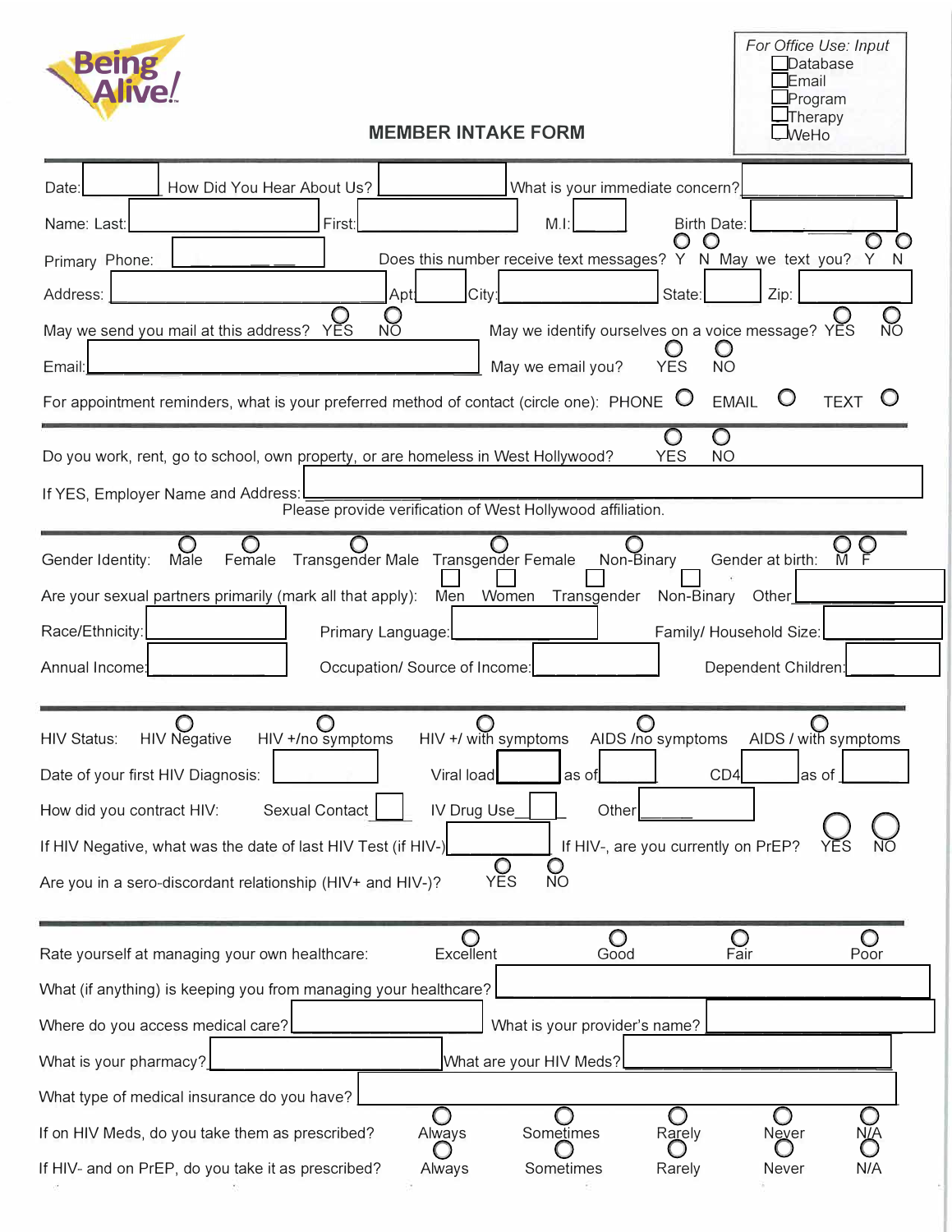| <b>Being</b><br><b>MEMBER INTAKE FORM</b>                                                                                                                                                                                                                                                                                                                                                                                                                                                                                                                                                                                                                                                                             | For Office Use: Input<br>Database<br>Email<br>Program<br>Therapy<br>$\blacksquare$ WeHo |
|-----------------------------------------------------------------------------------------------------------------------------------------------------------------------------------------------------------------------------------------------------------------------------------------------------------------------------------------------------------------------------------------------------------------------------------------------------------------------------------------------------------------------------------------------------------------------------------------------------------------------------------------------------------------------------------------------------------------------|-----------------------------------------------------------------------------------------|
| How Did You Hear About Us?<br>What is your immediate concern?<br>Date:<br>Name: Last:<br>First:<br><b>Birth Date:</b><br>M.I<br>Does this number receive text messages? Y N May we text you?<br>Primary Phone:<br>City:<br>Apt:<br>State:<br>Address:<br>May we send you mail at this address?<br>May we identify ourselves on a voice message? YES<br><b>YES</b><br><b>NO</b><br>May we email you?<br><b>YES</b><br><b>NO</b><br>Email<br>For appointment reminders, what is your preferred method of contact (circle one): PHONE $\heartsuit$<br><b>EMAIL</b><br>Do you work, rent, go to school, own property, or are homeless in West Hollywood?<br><b>YES</b><br><b>NO</b><br>If YES, Employer Name and Address: | Zip:<br><b>TEXT</b>                                                                     |
| Please provide verification of West Hollywood affiliation.<br>Transgender Male Transgender Female<br>Non-Binary<br>Gender Identity:<br>Gender at birth:<br>Male<br>Female<br>Are your sexual partners primarily (mark all that apply):<br>Men<br>Women<br>Transgender<br>Non-Binary<br>Race/Ethnicity:<br>Family/ Household Size:<br>Primary Language:<br>Annual Income:<br>Occupation/ Source of Income:                                                                                                                                                                                                                                                                                                             | Other<br>Dependent Children                                                             |
| $\circ$<br>$\bigcirc$<br>AIDS /no symptoms<br><b>HIV Negative</b><br>HIV +/ with symptoms<br><b>HIV Status:</b><br>HIV +/no symptoms<br>CD4<br>Date of your first HIV Diagnosis:<br>Viral load<br>as of<br>Sexual Contact<br>IV Drug Use<br>Other<br>How did you contract HIV:<br>If HIV-, are you currently on PrEP?<br>If HIV Negative, what was the date of last HIV Test (if HIV-)<br>O<br>Are you in a sero-discordant relationship (HIV+ and HIV-)?<br><b>YES</b><br><b>NO</b>                                                                                                                                                                                                                                  | ⌒<br>AIDS / with symptoms<br>as of                                                      |
| O<br>O<br>Rate yourself at managing your own healthcare:<br>Excellent<br>Good<br>Fair<br>What (if anything) is keeping you from managing your healthcare?<br>Where do you access medical care?<br>What is your provider's name?                                                                                                                                                                                                                                                                                                                                                                                                                                                                                       | Poor                                                                                    |
| What is your pharmacy?<br>What are your HIV Meds?<br>What type of medical insurance do you have?<br>If on HIV Meds, do you take them as prescribed?<br>Sometimes<br>Always<br>Rarely<br>If HIV- and on PrEP, do you take it as prescribed?<br>Sometimes<br>Rarely<br>Always                                                                                                                                                                                                                                                                                                                                                                                                                                           | Never<br>N/A<br><b>Never</b>                                                            |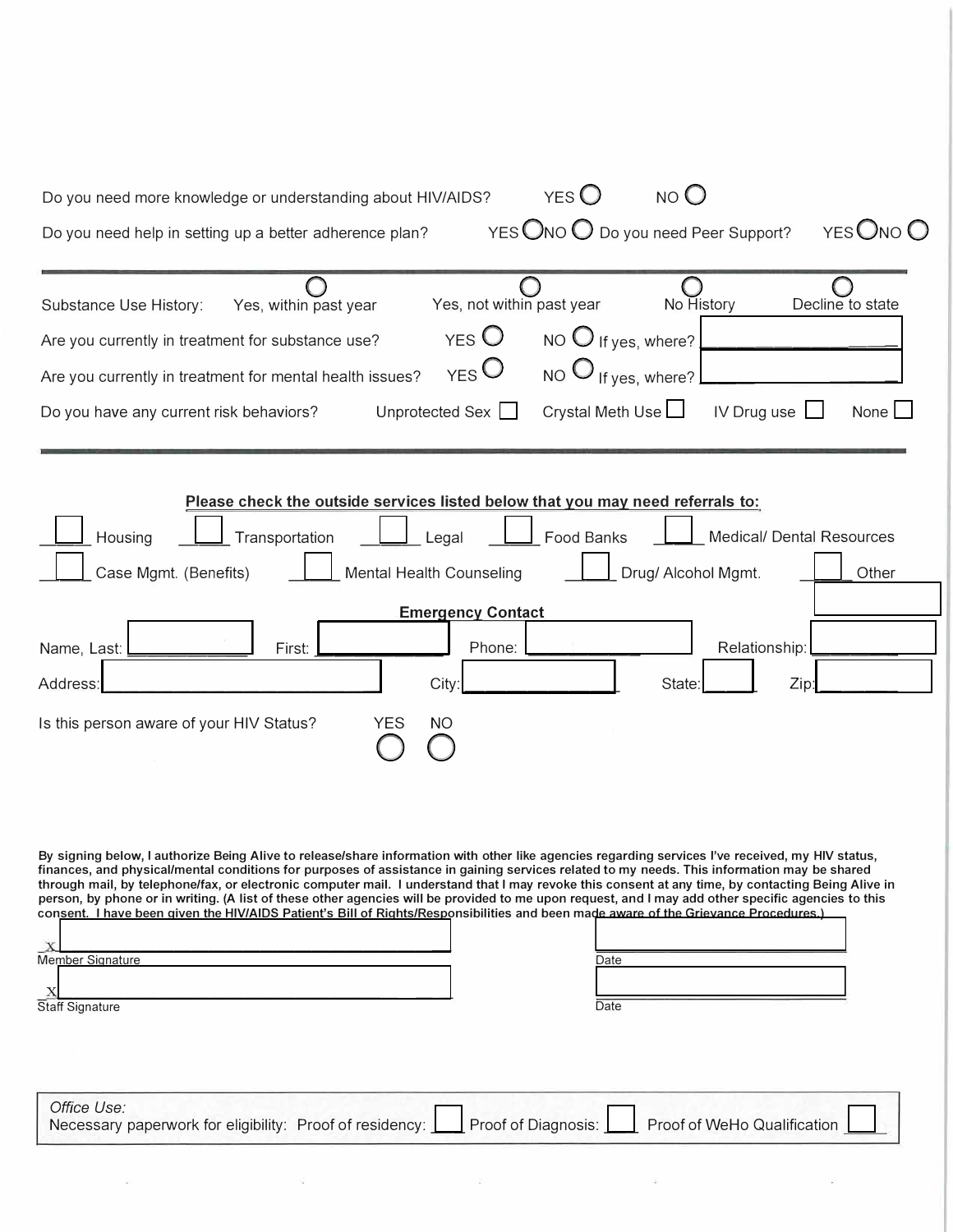| NO <sub>O</sub><br>$YES$ <sup><math>\bigcup</math></sup><br>Do you need more knowledge or understanding about HIV/AIDS?                                                                                                                                                                                                                                                                                                                         |
|-------------------------------------------------------------------------------------------------------------------------------------------------------------------------------------------------------------------------------------------------------------------------------------------------------------------------------------------------------------------------------------------------------------------------------------------------|
| YES ONO O Do you need Peer Support?<br>YES ONO O<br>Do you need help in setting up a better adherence plan?                                                                                                                                                                                                                                                                                                                                     |
|                                                                                                                                                                                                                                                                                                                                                                                                                                                 |
| Yes, not within past year<br>No History<br>Decline to state<br>Yes, within past year<br>Substance Use History:                                                                                                                                                                                                                                                                                                                                  |
| $YES$ <sup><math>\bigcirc</math></sup><br>NO $\bigcirc$ If yes, where?<br>Are you currently in treatment for substance use?                                                                                                                                                                                                                                                                                                                     |
| $_{\text{YES}}$ $O$<br>NO $\bigcup_{f}$ if yes, where?<br>Are you currently in treatment for mental health issues?                                                                                                                                                                                                                                                                                                                              |
| Crystal Meth Use L<br>Unprotected Sex<br>IV Drug use<br>None<br>Do you have any current risk behaviors?                                                                                                                                                                                                                                                                                                                                         |
|                                                                                                                                                                                                                                                                                                                                                                                                                                                 |
| Please check the outside services listed below that you may need referrals to:                                                                                                                                                                                                                                                                                                                                                                  |
| Housing<br>Transportation<br>Food Banks<br><b>Medical/ Dental Resources</b><br>Legal                                                                                                                                                                                                                                                                                                                                                            |
| Case Mgmt. (Benefits)<br>Mental Health Counseling<br>Drug/ Alcohol Mgmt.<br>Other                                                                                                                                                                                                                                                                                                                                                               |
| <b>Emergency Contact</b>                                                                                                                                                                                                                                                                                                                                                                                                                        |
| Relationship:<br>Name, Last:<br>First:<br>Phone:                                                                                                                                                                                                                                                                                                                                                                                                |
| City:<br>Zip:<br><b>State</b><br>Address:                                                                                                                                                                                                                                                                                                                                                                                                       |
| Is this person aware of your HIV Status?<br>YES<br>NO                                                                                                                                                                                                                                                                                                                                                                                           |
|                                                                                                                                                                                                                                                                                                                                                                                                                                                 |
|                                                                                                                                                                                                                                                                                                                                                                                                                                                 |
|                                                                                                                                                                                                                                                                                                                                                                                                                                                 |
| By signing below, I authorize Being Alive to release/share information with other like agencies regarding services I've received, my HIV status,<br>finances, and physical/mental conditions for purposes of assistance in gaining services related to my needs. This information may be shared                                                                                                                                                 |
| through mail, by telephone/fax, or electronic computer mail. I understand that I may revoke this consent at any time, by contacting Being Alive in<br>person, by phone or in writing. (A list of these other agencies will be provided to me upon request, and I may add other specific agencies to this<br>consent. I have been given the HIV/AIDS Patient's Bill of Rights/Responsibilities and been made aware of the Grievance Procedures.) |
| $\mathbf x$                                                                                                                                                                                                                                                                                                                                                                                                                                     |
| Member Signature<br>Date                                                                                                                                                                                                                                                                                                                                                                                                                        |
| Date<br><b>Staff Signature</b>                                                                                                                                                                                                                                                                                                                                                                                                                  |
|                                                                                                                                                                                                                                                                                                                                                                                                                                                 |
|                                                                                                                                                                                                                                                                                                                                                                                                                                                 |
| Office Use:<br>Proof of Diagnosis:<br>Proof of WeHo Qualification<br>Necessary paperwork for eligibility: Proof of residency:                                                                                                                                                                                                                                                                                                                   |
|                                                                                                                                                                                                                                                                                                                                                                                                                                                 |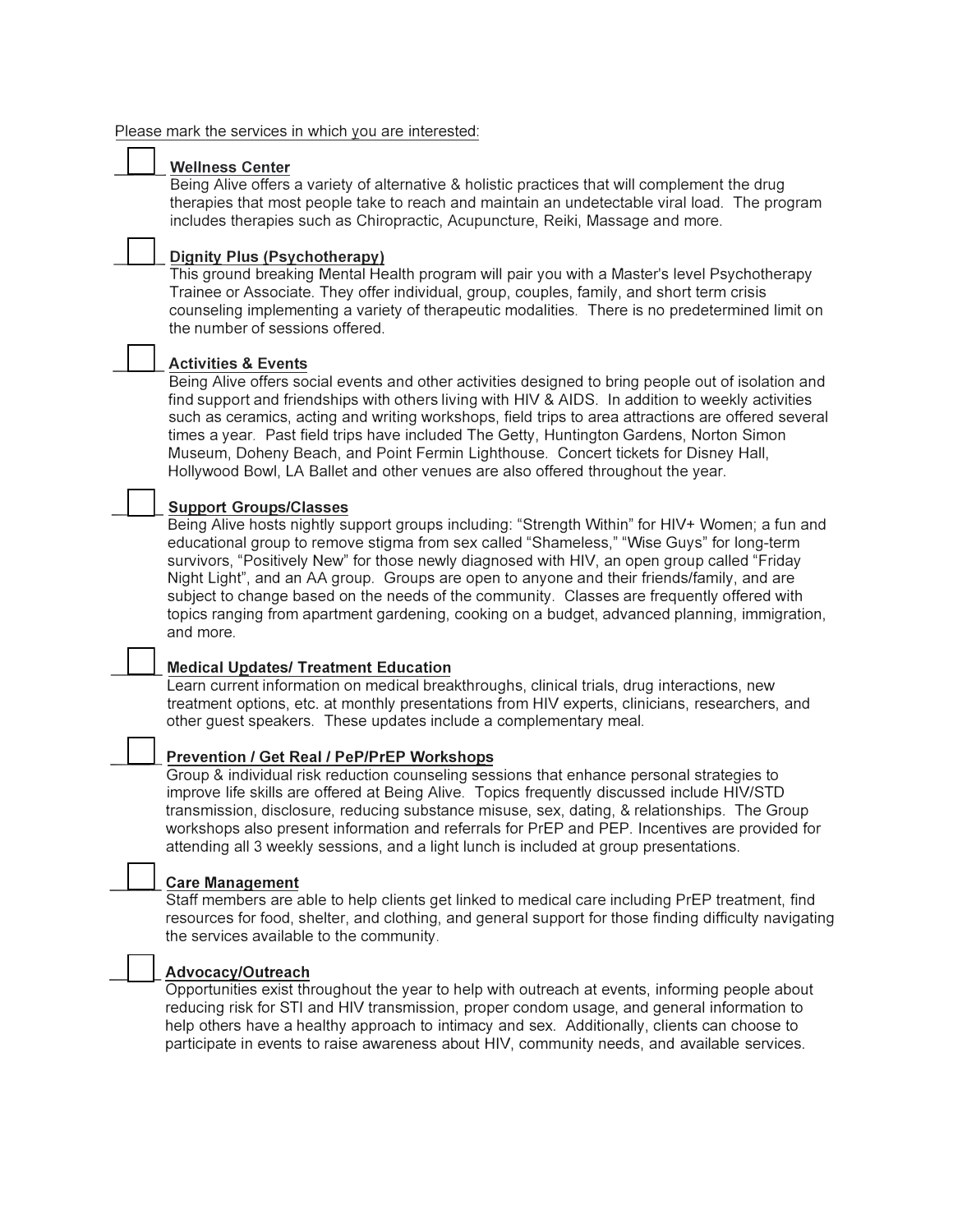#### Please mark the services in which you are interested:

### **\_\_\_ Wellness Center**

Being Alive offers a variety of alternative & holistic practices that will complement the drug therapies that most people take to reach and maintain an undetectable viral load. The program includes therapies such as Chiropractic, Acupuncture, Reiki, Massage and more.

## **\_\_\_ Dignity Plus (Psychotherapy)**

This ground breaking Mental Health program will pair you with a Master's level Psychotherapy Trainee or Associate. They offer individual, group, couples, family, and short term crisis counseling implementing a variety of therapeutic modalities. There is no predetermined limit on the number of sessions offered.

### **\_\_\_ Activities & Events**

Being Alive offers social events and other activities designed to bring people out of isolation and find support and friendships with others living with HIV & AIDS. In addition to weekly activities such as ceramics, acting and writing workshops, field trips to area attractions are offered several times a year. Past field trips have included The Getty, Huntington Gardens, Norton Simon Museum, Doheny Beach, and Point Fermin Lighthouse. Concert tickets for Disney Hall, Hollywood Bowl, LA Ballet and other venues are also offered throughout the year.

### **\_\_\_ Support Groups/Classes**

Being Alive hosts nightly support groups including: "Strength Within" for HIV+ Women; a fun and educational group to remove stigma from sex called "Shameless," "Wise Guys" for long-term survivors, "Positively New" for those newly diagnosed with HIV, an open group called "Friday Night Light", and an AA group. Groups are open to anyone and their friends/family, and are subject to change based on the needs of the community. Classes are frequently offered with topics ranging from apartment gardening, cooking on a budget, advanced planning, immigration, and more.

#### **\_\_\_ Medical Updates/ Treatment Education**

Learn current information on medical breakthroughs, clinical trials, drug interactions, new treatment options, etc. at monthly presentations from HIV experts, clinicians, researchers, and other guest speakers. These updates include a complementary meal.

#### **\_\_\_ Prevention / Get Real / PeP/PrEP Workshops**

Group & individual risk reduction counseling sessions that enhance personal strategies to improve life skills are offered at Being Alive. Topics frequently discussed include HIV/STD transmission, disclosure, reducing substance misuse, sex, dating, & relationships. The Group workshops also present information and referrals for PrEP and PEP. Incentives are provided for attending all 3 weekly sessions, and a light lunch is included at group presentations.

#### **\_\_\_ Care Management**

Staff members are able to help clients get linked to medical care including PrEP treatment, find resources for food, shelter, and clothing, and general support for those finding difficulty navigating the services available to the community.

#### **\_\_\_ Advocacy/Outreach**

Opportunities exist throughout the year to help with outreach at events, informing people about reducing risk for STI and HIV transmission, proper condom usage, and general information to help others have a healthy approach to intimacy and sex. Additionally, clients can choose to participate in events to raise awareness about HIV, community needs, and available services.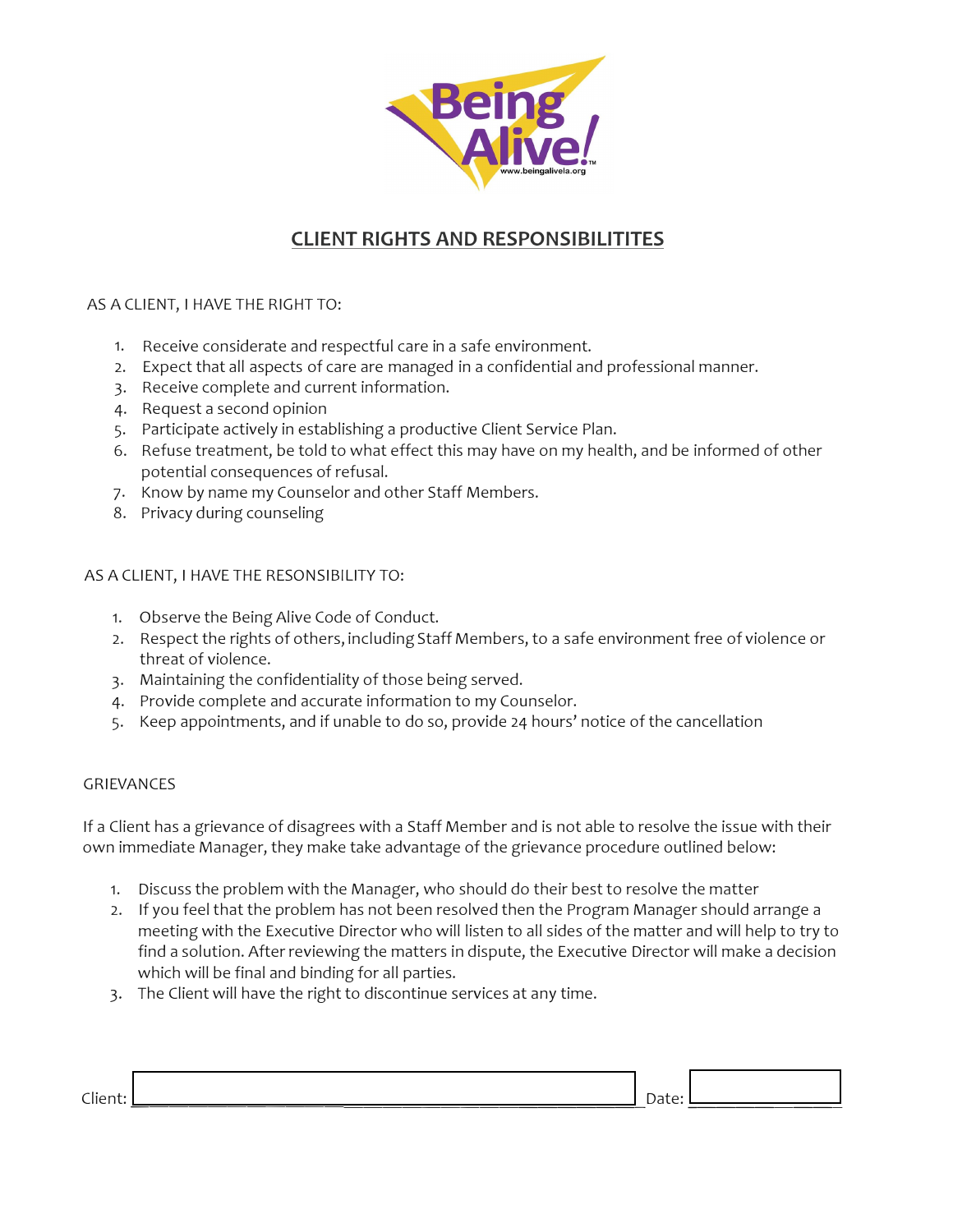

# **CLIENT RIGHTS AND RESPONSIBILITITES**

# AS A CLIENT, I HAVE THE RIGHT TO:

- 1. Receive considerate and respectful care in a safe environment.
- 2. Expect that all aspects of care are managed in a confidential and professional manner.
- 3. Receive complete and current information.
- 4. Request a second opinion
- 5. Participate actively in establishing a productive Client Service Plan.
- 6. Refuse treatment, be told to what effect this may have on my health, and be informed of other potential consequences of refusal.
- 7. Know by name my Counselor and other Staff Members.
- 8. Privacy during counseling

# AS A CLIENT, I HAVE THE RESONSIBILITY TO:

- 1. Observe the Being Alive Code of Conduct.
- 2. Respect the rights of others, including Staff Members, to a safe environment free of violence or threat of violence.
- 3. Maintaining the confidentiality of those being served.
- 4. Provide complete and accurate information to my Counselor.
- 5. Keep appointments, and if unable to do so, provide 24 hours' notice of the cancellation

# GRIEVANCES

If a Client has a grievance of disagrees with a Staff Member and is not able to resolve the issue with their own immediate Manager, they make take advantage of the grievance procedure outlined below:

- 1. Discuss the problem with the Manager, who should do their best to resolve the matter
- 2. If you feel that the problem has not been resolved then the Program Manager should arrange a meeting with the Executive Director who will listen to all sides of the matter and will help to try to find a solution. After reviewing the matters in dispute, the Executive Director will make a decision which will be final and binding for all parties.
- 3. The Client will have the right to discontinue services at any time.

| $-1$ |  |  |
|------|--|--|
|      |  |  |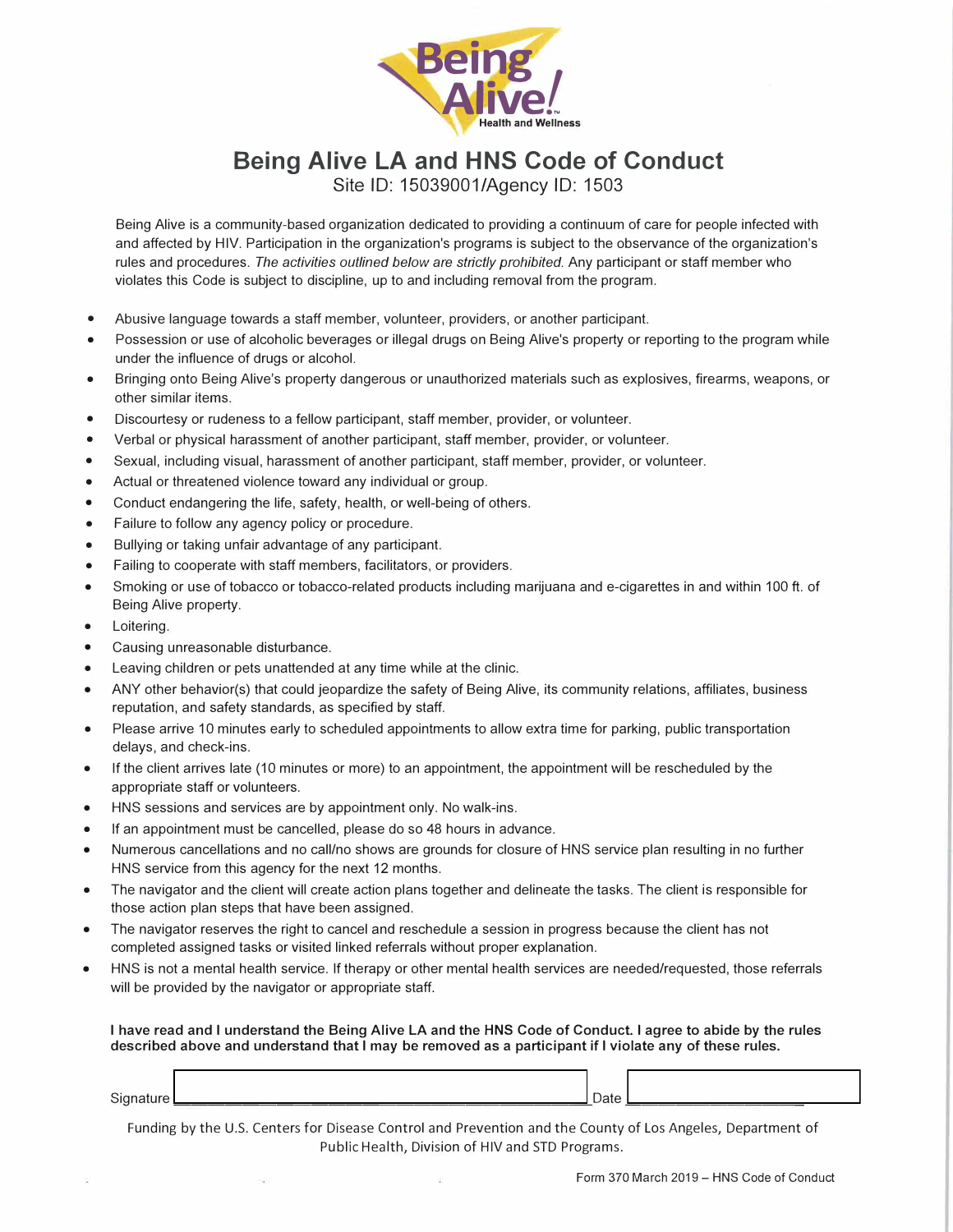

# **Being Alive LA and HNS Code of Conduct**

Site ID: 15039001/Agency ID: 1503

Being Alive is a community-based organization dedicated to providing a continuum of care for people infected with and affected by HIV. Participation in the organization's programs is subject to the observance of the organization's rules and procedures. *The activities outlined below are strictly prohibited.* Any participant or staff member who violates this Code is subject to discipline, up to and including removal from the program.

- Abusive language towards a staff member, volunteer, providers, or another participant.
- Possession or use of alcoholic beverages or illegal drugs on Being Alive's property or reporting to the program while under the influence of drugs or alcohol.
- Bringing onto Being Alive's property dangerous or unauthorized materials such as explosives, firearms, weapons, or other similar items.
- Discourtesy or rudeness to a fellow participant, staff member, provider, or volunteer.
- Verbal or physical harassment of another participant, staff member, provider, or volunteer.
- Sexual, including visual, harassment of another participant, staff member, provider, or volunteer.
- Actual or threatened violence toward any individual or group.
- Conduct endangering the life, safety, health, or well-being of others.
- Failure to follow any agency policy or procedure.
- Bullying or taking unfair advantage of any participant.
- Failing to cooperate with staff members, facilitators, or providers.
- Smoking or use of tobacco or tobacco-related products including marijuana and e-cigarettes in and within 100 ft. of Being Alive property.
- Loitering.
- Causing unreasonable disturbance.
- Leaving children or pets unattended at any time while at the clinic.
- ANY other behavior(s) that could jeopardize the safety of Being Alive, its community relations, affiliates, business reputation, and safety standards, as specified by staff.
- Please arrive 10 minutes early to scheduled appointments to allow extra time for parking, public transportation delays, and check-ins.
- If the client arrives late (10 minutes or more) to an appointment, the appointment will be rescheduled by the appropriate staff or volunteers.
- HNS sessions and services are by appointment only. No walk-ins.
- If an appointment must be cancelled, please do so 48 hours in advance.
- Numerous cancellations and no call/no shows are grounds for closure of HNS service plan resulting in no further HNS service from this agency for the next 12 months.
- The navigator and the client will create action plans together and delineate the tasks. The client is responsible for those action plan steps that have been assigned.
- The navigator reserves the right to cancel and reschedule a session in progress because the client has not completed assigned tasks or visited linked referrals without proper explanation.
- HNS is not a mental health service. If therapy or other mental health services are needed/requested, those referrals will be provided by the navigator or appropriate staff.

I **have read and** I **understand the Being Alive LA and the HNS Code of Conduct.** I **agree to abide by the rules described above and understand that** I **may be removed as a participant if** I **violate any of these rules.** 

Signature \_\_\_\_\_\_\_\_\_\_\_\_\_\_\_\_\_\_\_\_\_\_\_\_ Date \_\_\_\_\_\_\_\_\_\_ \_

Funding by the U.S. Centers for Disease Control and Prevention and the County of Los Angeles, Department of Public Health, Division of HIV and STD Programs.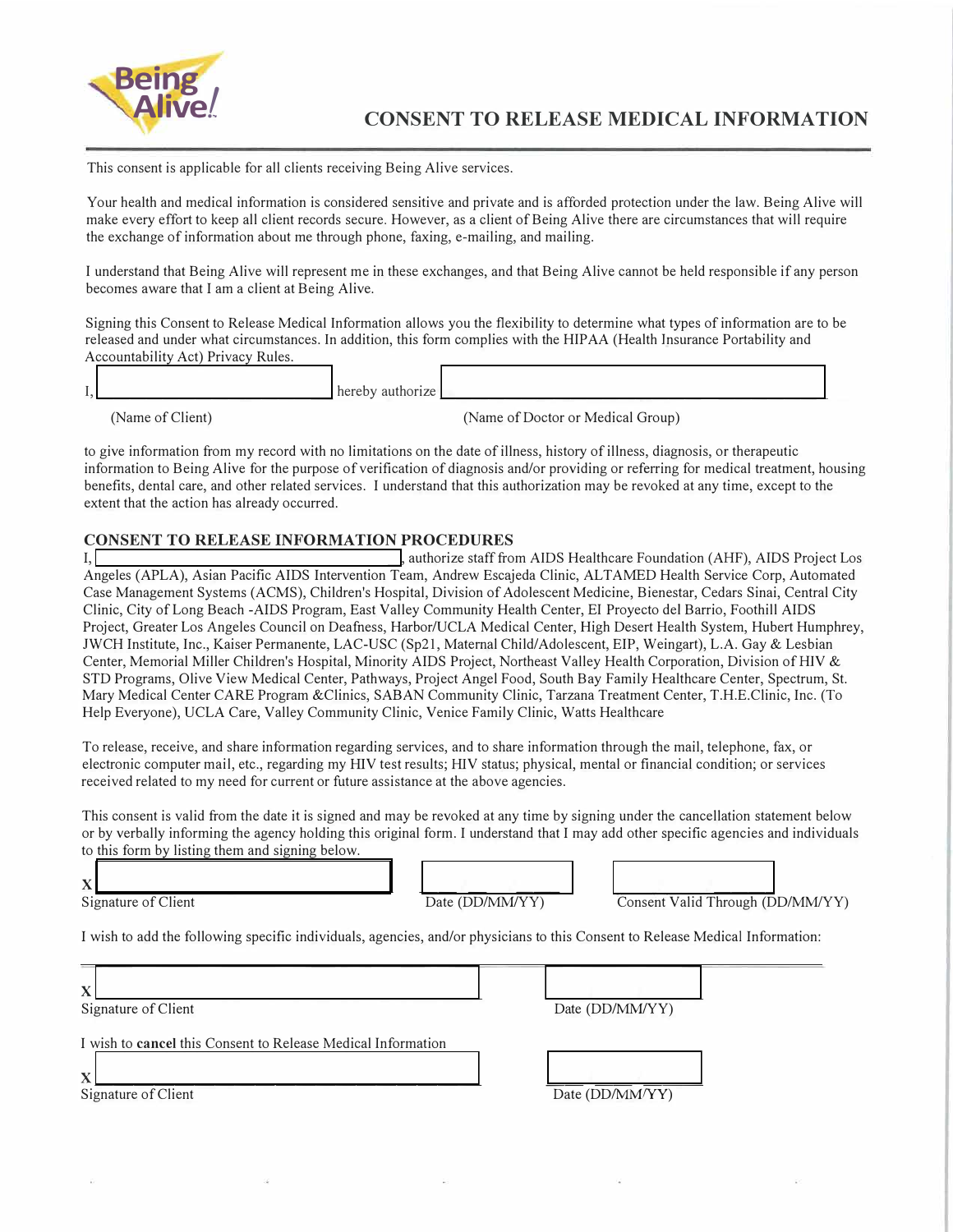

This consent is applicable for all clients receiving Being Alive services.

Your health and medical information is considered sensitive and private and is afforded protection under the law. Being Alive will make every effort to keep all client records secure. However, as a client of Being Alive there are circumstances that will require the exchange of information about me through phone, faxing, e-mailing, and mailing.

I understand that Being Alive will represent me in these exchanges, and that Being Alive cannot be held responsible if any person becomes aware that I am a client at Being Alive.

Signing this Consent to Release Medical Information allows you the flexibility to determine what types of information are to be released and under what circumstances. In addition, this form complies with the HIP AA (Health Insurance Portability and Accountability Act) Privacy Rules.

I, \_\_\_\_\_\_\_\_\_\_\_\_\_\_ hereby authorize \_\_\_\_\_\_\_\_\_\_\_\_\_\_\_\_\_\_\_\_\_\_\_ \_

(Name of Client) (Name of Doctor or Medical Group)

to give information from my record with no limitations on the date of illness, history of illness, diagnosis, or therapeutic information to Being Alive for the purpose of verification of diagnosis and/or providing or referring for medical treatment, housing benefits, dental care, and other related services. I understand that this authorization may be revoked at any time, except to the extent that the action has already occurred.

# **CONSENT TO RELEASE INFORMATION PROCEDURES**

I,  $\overline{I}$  , authorize staff from AIDS Healthcare Foundation (AHF), AIDS Project Los Angeles (APLA), Asian Pacific AIDS Intervention Team, Andrew Escajeda Clinic, ALT AMED Health Service Corp, Automated Case Management Systems (ACMS), Children's Hospital, Division of Adolescent Medicine, Bienestar, Cedars Sinai, Central City Clinic, City of Long Beach -AIDS Program, East Valley Community Health Center, EI Proyecto de! Barrio, Foothill AIDS Project, Greater Los Angeles Council on Deafness, Harbor/UCLA Medical Center, High Desert Health System, Hubert Humphrey, JWCH Institute, Inc., Kaiser Permanente, LAC-USC (Sp21, Maternal Child/Adolescent, EIP, Weingart), L.A. Gay & Lesbian Center, Memorial Miller Children's Hospital, Minority AIDS Project, Northeast Valley Health Corporation, Division of HIV & STD Programs, Olive View Medical Center, Pathways, Project Angel Food, South Bay Family Healthcare Center, Spectrum, St. Mary Medical Center CARE Program &Clinics, SABAN Community Clinic, Tarzana Treatment Center, T.H.E.Clinic, Inc. (To Help Everyone), UCLA Care, Valley Community Clinic, Venice Family Clinic, Watts Healthcare

To release, receive, and share information regarding services, and to share information through the mail, telephone, fax, or electronic computer mail, etc., regarding my HIV test results; HIV status; physical, mental or financial condition; or services received related to my need for current or future assistance at the above agencies.

This consent is valid from the date it is signed and may be revoked at any time by signing under the cancellation statement below or by verbally informing the agency holding this original form. I understand that I may add other specific agencies and individuals to this form by listing them and signing below.

Signature of Client Date (DD/MM/YY) Consent Valid Through (DD/MM/YY)

**<sup>X</sup>**------------------ \_\_ \_ \_\_ \_ ----

I wish to add the following specific individuals, agencies, and/or physicians to this Consent to Release Medical Information:

| X<br>Signature of Client                                                                           | Date (DD/MM/YY) |  |
|----------------------------------------------------------------------------------------------------|-----------------|--|
| I wish to cancel this Consent to Release Medical Information<br>$\mathbf x$<br>Signature of Client | Date (DD/MM/YY) |  |